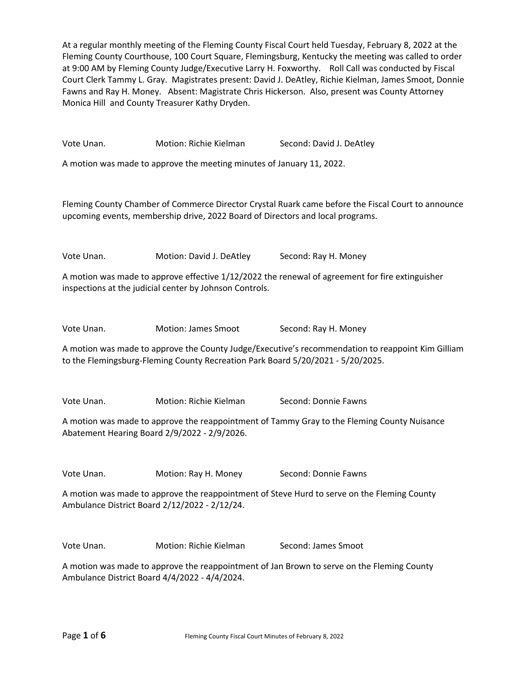At a regular monthly meeting of the Fleming County Fiscal Court held Tuesday, February 8, 2022 at the Fleming County Courthouse, 100 Court Square, Flemingsburg, Kentucky the meeting was called to order at 9:00 AM by Fleming County Judge/Executive Larry H. Foxworthy. Roll Call was conducted by Fiscal Court Clerk Tammy L. Gray. Magistrates present: David J. DeAtley, Richie Kielman, James Smoot, Donnie Fawns and Ray H. Money. Absent: Magistrate Chris Hickerson. Also, present was County Attorney Monica Hill and County Treasurer Kathy Dryden.

Vote Unan. **Motion: Richie Kielman** Second: David J. DeAtley A motion was made to approve the meeting minutes of January 11, 2022. Fleming County Chamber of Commerce Director Crystal Ruark came before the Fiscal Court to announce upcoming events, membership drive, 2022 Board of Directors and local programs. Vote Unan. Motion: David J. DeAtley Second: Ray H. Money A motion was made to approve effective 1/12/2022 the renewal of agreement for fire extinguisher inspections at the judicial center by Johnson Controls. Vote Unan. Motion: James Smoot Second: Ray H. Money A motion was made to approve the County Judge/Executive's recommendation to reappoint Kim Gilliam to the Flemingsburg-Fleming County Recreation Park Board 5/20/2021 - 5/20/2025. Vote Unan. Motion: Richie Kielman Second: Donnie Fawns A motion was made to approve the reappointment of Tammy Gray to the Fleming County Nuisance Abatement Hearing Board 2/9/2022 - 2/9/2026. Vote Unan. **Motion: Ray H. Money Second: Donnie Fawns** A motion was made to approve the reappointment of Steve Hurd to serve on the Fleming County Ambulance District Board 2/12/2022 - 2/12/24. Vote Unan. Motion: Richie Kielman Second: James Smoot A motion was made to approve the reappointment of Jan Brown to serve on the Fleming County Ambulance District Board 4/4/2022 - 4/4/2024.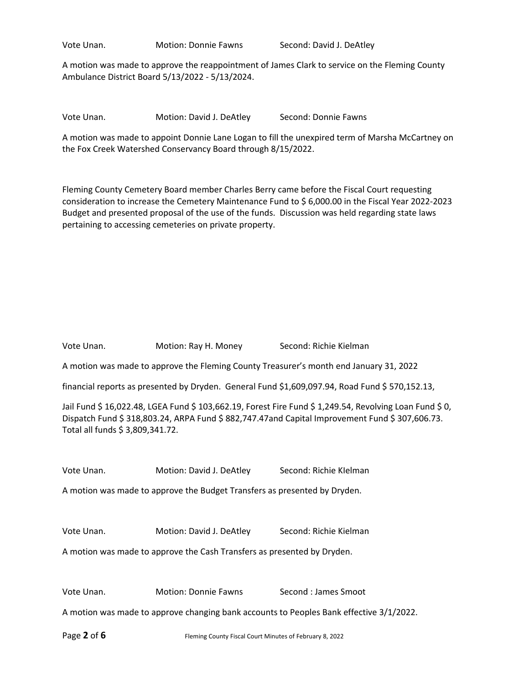Vote Unan. Motion: Donnie Fawns Second: David J. DeAtley

A motion was made to approve the reappointment of James Clark to service on the Fleming County Ambulance District Board 5/13/2022 - 5/13/2024.

Vote Unan. Motion: David J. DeAtley Second: Donnie Fawns

A motion was made to appoint Donnie Lane Logan to fill the unexpired term of Marsha McCartney on the Fox Creek Watershed Conservancy Board through 8/15/2022.

Fleming County Cemetery Board member Charles Berry came before the Fiscal Court requesting consideration to increase the Cemetery Maintenance Fund to \$ 6,000.00 in the Fiscal Year 2022-2023 Budget and presented proposal of the use of the funds. Discussion was held regarding state laws pertaining to accessing cemeteries on private property.

| Vote Unan.                                                                                                                                                                                                                                      | Motion: Ray H. Money                            | Second: Richie Kielman |
|-------------------------------------------------------------------------------------------------------------------------------------------------------------------------------------------------------------------------------------------------|-------------------------------------------------|------------------------|
| A motion was made to approve the Fleming County Treasurer's month end January 31, 2022                                                                                                                                                          |                                                 |                        |
| financial reports as presented by Dryden. General Fund \$1,609,097.94, Road Fund \$570,152.13,                                                                                                                                                  |                                                 |                        |
| Jail Fund \$ 16,022.48, LGEA Fund \$ 103,662.19, Forest Fire Fund \$ 1,249.54, Revolving Loan Fund \$ 0,<br>Dispatch Fund \$ 318,803.24, ARPA Fund \$ 882,747.47and Capital Improvement Fund \$ 307,606.73.<br>Total all funds \$ 3,809,341.72. |                                                 |                        |
| Vote Unan.                                                                                                                                                                                                                                      | Motion: David J. DeAtley                        | Second: Richie Klelman |
| A motion was made to approve the Budget Transfers as presented by Dryden.                                                                                                                                                                       |                                                 |                        |
|                                                                                                                                                                                                                                                 |                                                 |                        |
| Vote Unan.                                                                                                                                                                                                                                      | Motion: David J. DeAtley Second: Richie Kielman |                        |
| A motion was made to approve the Cash Transfers as presented by Dryden.                                                                                                                                                                         |                                                 |                        |
|                                                                                                                                                                                                                                                 |                                                 |                        |
| Vote Unan.                                                                                                                                                                                                                                      | Motion: Donnie Fawns                            | Second: James Smoot    |
| A motion was made to approve changing bank accounts to Peoples Bank effective 3/1/2022.                                                                                                                                                         |                                                 |                        |
|                                                                                                                                                                                                                                                 |                                                 |                        |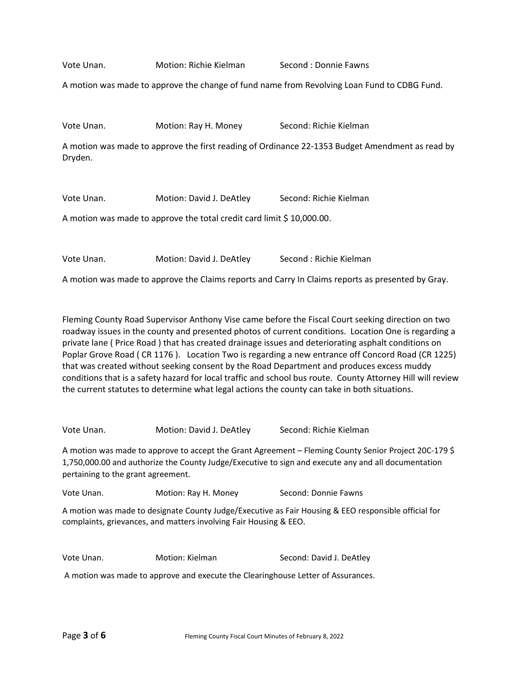Vote Unan. Motion: Richie Kielman Second : Donnie Fawns

A motion was made to approve the change of fund name from Revolving Loan Fund to CDBG Fund.

Vote Unan. **Motion: Ray H. Money Second: Richie Kielman** 

A motion was made to approve the first reading of Ordinance 22-1353 Budget Amendment as read by Dryden.

Vote Unan. Motion: David J. DeAtley Second: Richie Kielman

A motion was made to approve the total credit card limit \$10,000.00.

Vote Unan. **Motion: David J. DeAtley** Second : Richie Kielman

A motion was made to approve the Claims reports and Carry In Claims reports as presented by Gray.

Fleming County Road Supervisor Anthony Vise came before the Fiscal Court seeking direction on two roadway issues in the county and presented photos of current conditions. Location One is regarding a private lane ( Price Road ) that has created drainage issues and deteriorating asphalt conditions on Poplar Grove Road ( CR 1176 ). Location Two is regarding a new entrance off Concord Road (CR 1225) that was created without seeking consent by the Road Department and produces excess muddy conditions that is a safety hazard for local traffic and school bus route. County Attorney Hill will review the current statutes to determine what legal actions the county can take in both situations.

Vote Unan. **Motion: David J. DeAtley** Second: Richie Kielman

A motion was made to approve to accept the Grant Agreement – Fleming County Senior Project 20C-179 \$ 1,750,000.00 and authorize the County Judge/Executive to sign and execute any and all documentation pertaining to the grant agreement.

Vote Unan. **Motion: Ray H. Money** Second: Donnie Fawns

A motion was made to designate County Judge/Executive as Fair Housing & EEO responsible official for complaints, grievances, and matters involving Fair Housing & EEO.

Vote Unan. Motion: Kielman Second: David J. DeAtley

A motion was made to approve and execute the Clearinghouse Letter of Assurances.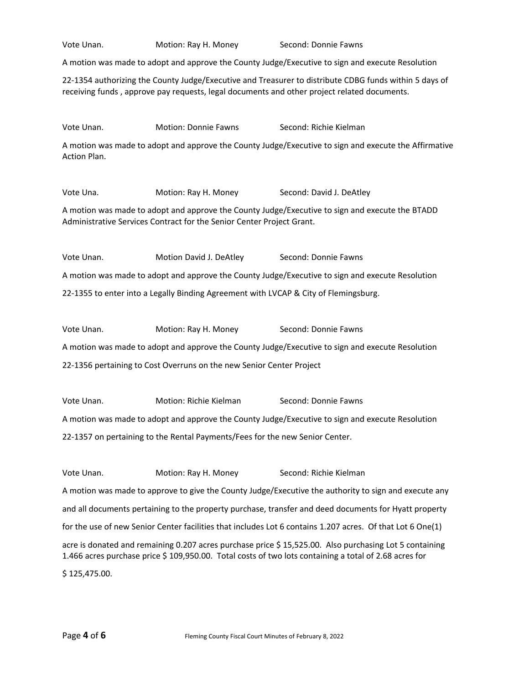Vote Unan. Motion: Ray H. Money Second: Donnie Fawns A motion was made to adopt and approve the County Judge/Executive to sign and execute Resolution 22-1354 authorizing the County Judge/Executive and Treasurer to distribute CDBG funds within 5 days of receiving funds , approve pay requests, legal documents and other project related documents. Vote Unan. Motion: Donnie Fawns Second: Richie Kielman A motion was made to adopt and approve the County Judge/Executive to sign and execute the Affirmative Action Plan. Vote Una. **Motion: Ray H. Money** Second: David J. DeAtley A motion was made to adopt and approve the County Judge/Executive to sign and execute the BTADD Administrative Services Contract for the Senior Center Project Grant. Vote Unan. **Motion David J. DeAtley** Second: Donnie Fawns A motion was made to adopt and approve the County Judge/Executive to sign and execute Resolution 22-1355 to enter into a Legally Binding Agreement with LVCAP & City of Flemingsburg. Vote Unan. Motion: Ray H. Money Second: Donnie Fawns A motion was made to adopt and approve the County Judge/Executive to sign and execute Resolution 22-1356 pertaining to Cost Overruns on the new Senior Center Project Vote Unan. **Motion: Richie Kielman** Second: Donnie Fawns A motion was made to adopt and approve the County Judge/Executive to sign and execute Resolution 22-1357 on pertaining to the Rental Payments/Fees for the new Senior Center. Vote Unan. **Motion: Ray H. Money Second: Richie Kielman** A motion was made to approve to give the County Judge/Executive the authority to sign and execute any and all documents pertaining to the property purchase, transfer and deed documents for Hyatt property for the use of new Senior Center facilities that includes Lot 6 contains 1.207 acres. Of that Lot 6 One(1) acre is donated and remaining 0.207 acres purchase price \$ 15,525.00. Also purchasing Lot 5 containing 1.466 acres purchase price \$ 109,950.00. Total costs of two lots containing a total of 2.68 acres for \$ 125,475.00.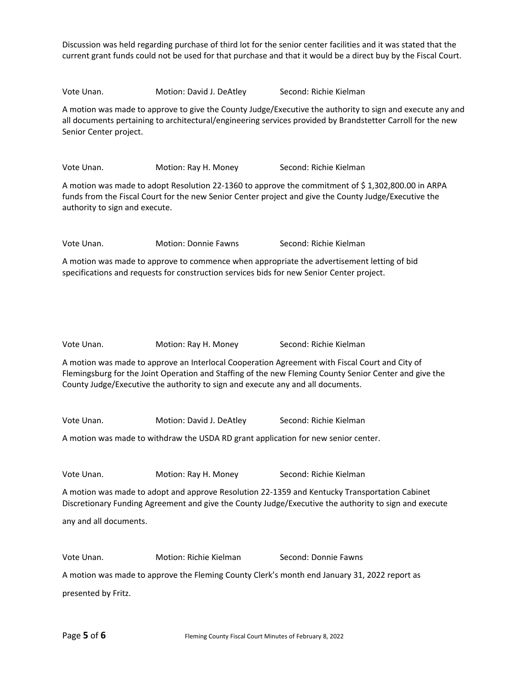Discussion was held regarding purchase of third lot for the senior center facilities and it was stated that the current grant funds could not be used for that purchase and that it would be a direct buy by the Fiscal Court.

Vote Unan. **Motion: David J. DeAtley** Second: Richie Kielman

A motion was made to approve to give the County Judge/Executive the authority to sign and execute any and all documents pertaining to architectural/engineering services provided by Brandstetter Carroll for the new Senior Center project.

Vote Unan. Motion: Ray H. Money Second: Richie Kielman

A motion was made to adopt Resolution 22-1360 to approve the commitment of \$ 1,302,800.00 in ARPA funds from the Fiscal Court for the new Senior Center project and give the County Judge/Executive the authority to sign and execute.

Vote Unan. Motion: Donnie Fawns Second: Richie Kielman

A motion was made to approve to commence when appropriate the advertisement letting of bid specifications and requests for construction services bids for new Senior Center project.

Vote Unan. Motion: Ray H. Money Second: Richie Kielman

A motion was made to approve an Interlocal Cooperation Agreement with Fiscal Court and City of Flemingsburg for the Joint Operation and Staffing of the new Fleming County Senior Center and give the County Judge/Executive the authority to sign and execute any and all documents.

Vote Unan. Motion: David J. DeAtley Second: Richie Kielman

A motion was made to withdraw the USDA RD grant application for new senior center.

Vote Unan. Motion: Ray H. Money Second: Richie Kielman

A motion was made to adopt and approve Resolution 22-1359 and Kentucky Transportation Cabinet Discretionary Funding Agreement and give the County Judge/Executive the authority to sign and execute

any and all documents.

Vote Unan. Motion: Richie Kielman Second: Donnie Fawns

A motion was made to approve the Fleming County Clerk's month end January 31, 2022 report as presented by Fritz.